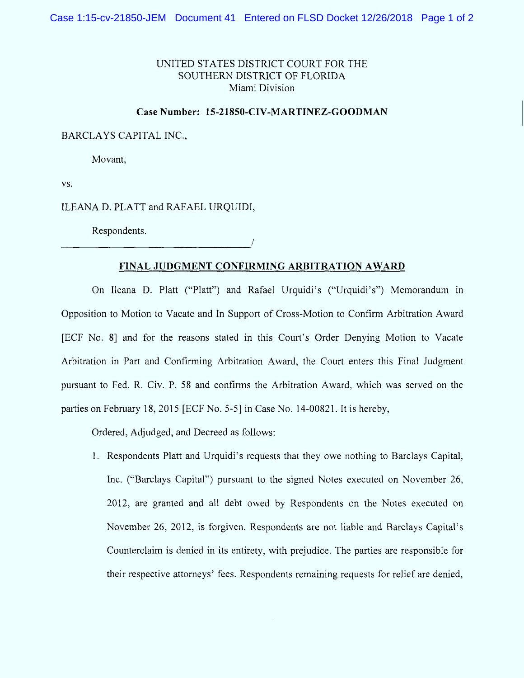## UNITED STATES DISTRICT COURT FOR THE SOUTHERN DISTRICT OF FLORIDA Miami Division

## Case Number: 15-21850-CIV-MARTINEZ-GOODMAN

**BARCLAYS CAPITAL INC.,** 

Movant.

VS.

ILEANA D. PLATT and RAFAEL URQUIDI,

Respondents.

## FINAL JUDGMENT CONFIRMING ARBITRATION AWARD

On Ileana D. Platt ("Platt") and Rafael Urquidi's ("Urquidi's") Memorandum in Opposition to Motion to Vacate and In Support of Cross-Motion to Confirm Arbitration Award [ECF No. 8] and for the reasons stated in this Court's Order Denying Motion to Vacate Arbitration in Part and Confirming Arbitration Award, the Court enters this Final Judgment pursuant to Fed. R. Civ. P. 58 and confirms the Arbitration Award, which was served on the parties on February 18, 2015 [ECF No. 5-5] in Case No. 14-00821. It is hereby,

Ordered, Adjudged, and Decreed as follows:

1. Respondents Platt and Urquidi's requests that they owe nothing to Barclays Capital, Inc. ("Barclays Capital") pursuant to the signed Notes executed on November 26, 2012, are granted and all debt owed by Respondents on the Notes executed on November 26, 2012, is forgiven. Respondents are not liable and Barclays Capital's Counterclaim is denied in its entirety, with prejudice. The parties are responsible for their respective attorneys' fees. Respondents remaining requests for relief are denied,